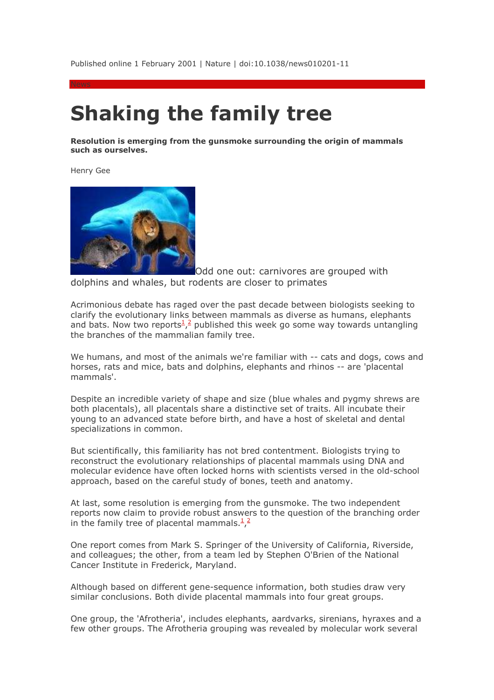Published online 1 February 2001 | Nature | doi:10.1038/news010201-11

## **Shaking the family tree**

**Resolution is emerging from the gunsmoke surrounding the origin of mammals such as ourselves.** 

Henry Gee



Odd one out: carnivores are grouped with dolphins and whales, but rodents are closer to primates

Acrimonious debate has raged over the past decade between biologists seeking to clarify the evolutionary links between mammals as diverse as humans, elephants and bats. Now two reports<sup>1</sup>,<sup>2</sup> published this week go some way towards untangling the branches of the mammalian family tree.

We humans, and most of the animals we're familiar with -- cats and dogs, cows and horses, rats and mice, bats and dolphins, elephants and rhinos -- are 'placental mammals'.

Despite an incredible variety of shape and size (blue whales and pygmy shrews are both placentals), all placentals share a distinctive set of traits. All incubate their young to an advanced state before birth, and have a host of skeletal and dental specializations in common.

But scientifically, this familiarity has not bred contentment. Biologists trying to reconstruct the evolutionary relationships of placental mammals using DNA and molecular evidence have often locked horns with scientists versed in the old-school approach, based on the careful study of bones, teeth and anatomy.

At last, some resolution is emerging from the gunsmoke. The two independent reports now claim to provide robust answers to the question of the branching order in the family tree of placental mammals. $\frac{1}{2}$ 

One report comes from Mark S. Springer of the University of California, Riverside, and colleagues; the other, from a team led by Stephen O'Brien of the National Cancer Institute in Frederick, Maryland.

Although based on different gene-sequence information, both studies draw very similar conclusions. Both divide placental mammals into four great groups.

One group, the 'Afrotheria', includes elephants, aardvarks, sirenians, hyraxes and a few other groups. The Afrotheria grouping was revealed by molecular work several